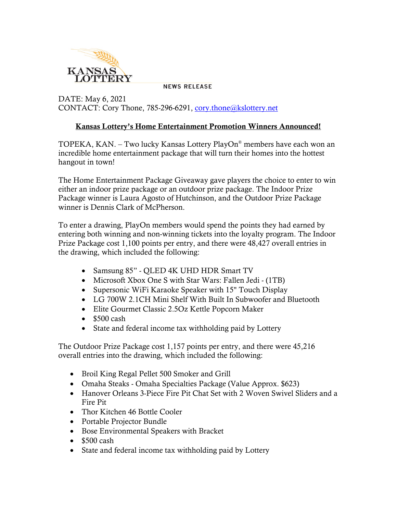

**NEWS RELEASE** 

DATE: May 6, 2021 CONTACT: Cory Thone, 785-296-6291, [cory.thone@kslottery.net](mailto:cory.thone@kslottery.net)

## Kansas Lottery's Home Entertainment Promotion Winners Announced!

TOPEKA, KAN. – Two lucky Kansas Lottery PlayOn® members have each won an incredible home entertainment package that will turn their homes into the hottest hangout in town!

The Home Entertainment Package Giveaway gave players the choice to enter to win either an indoor prize package or an outdoor prize package. The Indoor Prize Package winner is Laura Agosto of Hutchinson, and the Outdoor Prize Package winner is Dennis Clark of McPherson.

To enter a drawing, PlayOn members would spend the points they had earned by entering both winning and non-winning tickets into the loyalty program. The Indoor Prize Package cost 1,100 points per entry, and there were 48,427 overall entries in the drawing, which included the following:

- Samsung 85" OLED 4K UHD HDR Smart TV
- Microsoft Xbox One S with Star Wars: Fallen Jedi (1TB)
- Supersonic WiFi Karaoke Speaker with 15" Touch Display
- LG 700W 2.1CH Mini Shelf With Built In Subwoofer and Bluetooth
- Elite Gourmet Classic 2.5Oz Kettle Popcorn Maker
- $\bullet$  \$500 cash
- State and federal income tax withholding paid by Lottery

The Outdoor Prize Package cost 1,157 points per entry, and there were 45,216 overall entries into the drawing, which included the following:

- Broil King Regal Pellet 500 Smoker and Grill
- Omaha Steaks Omaha Specialties Package (Value Approx. \$623)
- Hanover Orleans 3-Piece Fire Pit Chat Set with 2 Woven Swivel Sliders and a Fire Pit
- Thor Kitchen 46 Bottle Cooler
- Portable Projector Bundle
- Bose Environmental Speakers with Bracket
- $$500 \text{ cash}$
- State and federal income tax withholding paid by Lottery